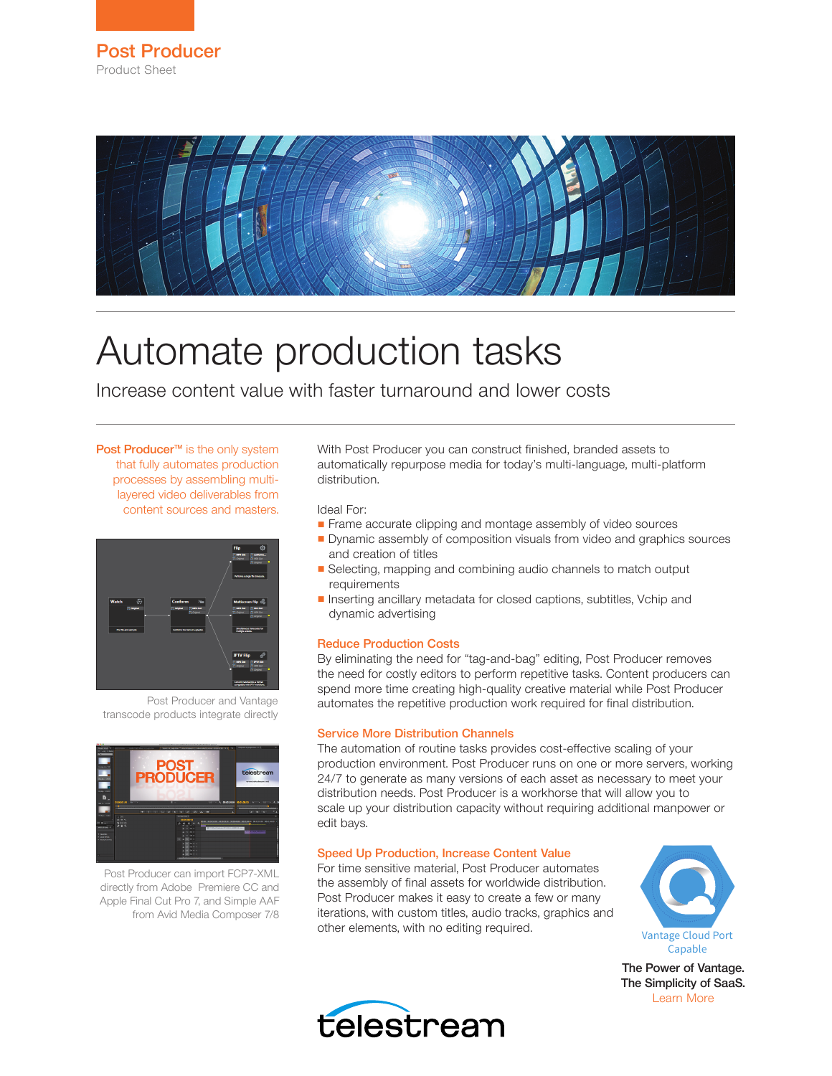

# Automate production tasks

Increase content value with faster turnaround and lower costs

Post Producer<sup>™</sup> is the only system that fully automates production processes by assembling multilayered video deliverables from content sources and masters.



Post Producer and Vantage transcode products integrate directly



Post Producer can import FCP7-XML directly from Adobe Premiere CC and Apple Final Cut Pro 7, and Simple AAF from Avid Media Composer 7/8

With Post Producer you can construct finished, branded assets to automatically repurpose media for today's multi-language, multi-platform distribution.

Ideal For:

- Frame accurate clipping and montage assembly of video sources
- Dynamic assembly of composition visuals from video and graphics sources and creation of titles
- Selecting, mapping and combining audio channels to match output requirements
- Inserting ancillary metadata for closed captions, subtitles, Vchip and dynamic advertising

### Reduce Production Costs

By eliminating the need for "tag-and-bag" editing, Post Producer removes the need for costly editors to perform repetitive tasks. Content producers can spend more time creating high-quality creative material while Post Producer automates the repetitive production work required for final distribution.

### Service More Distribution Channels

The automation of routine tasks provides cost-effective scaling of your production environment. Post Producer runs on one or more servers, working 24/7 to generate as many versions of each asset as necessary to meet your distribution needs. Post Producer is a workhorse that will allow you to scale up your distribution capacity without requiring additional manpower or edit bays.

### Speed Up Production, Increase Content Value

For time sensitive material, Post Producer automates the assembly of final assets for worldwide distribution. Post Producer makes it easy to create a few or many iterations, with custom titles, audio tracks, graphics and other elements, with no editing required.



The Power of Vantage. The Simplicity of SaaS. [Learn More](http://www.telestream.net/vantage/vantage-cloud-port.htm)

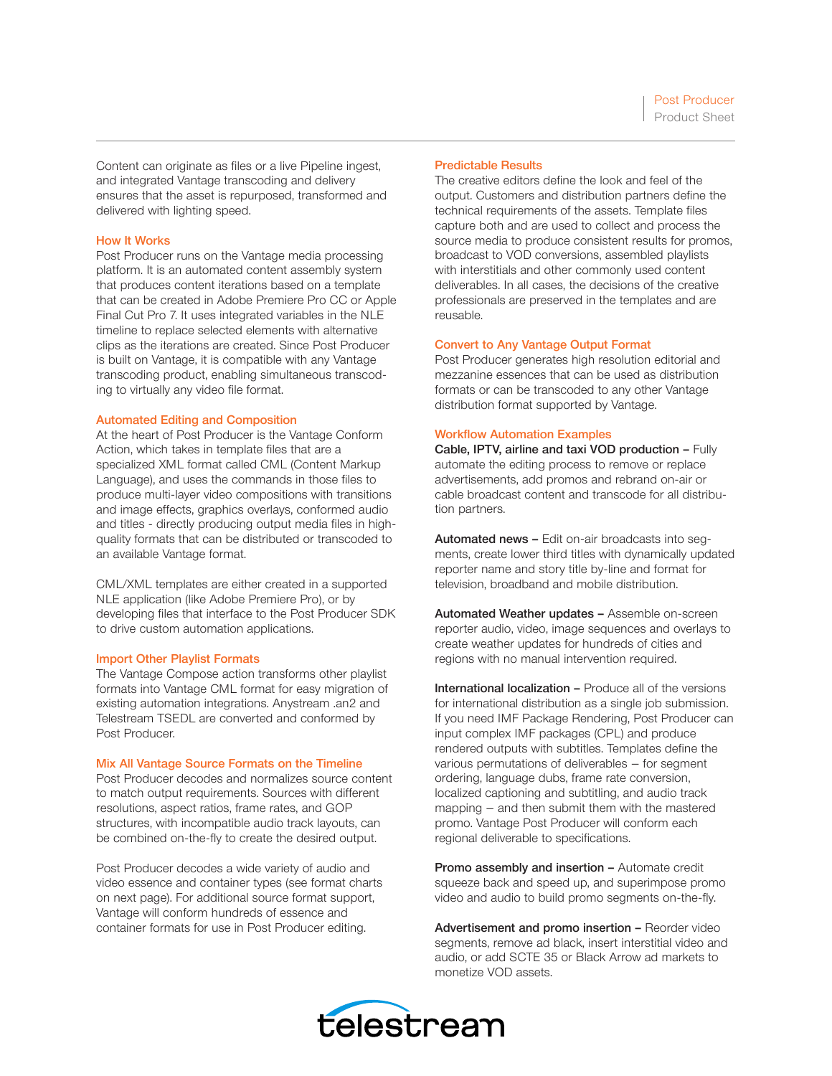Content can originate as files or a live Pipeline ingest, and integrated Vantage transcoding and delivery ensures that the asset is repurposed, transformed and delivered with lighting speed.

### How It Works

Post Producer runs on the Vantage media processing platform. It is an automated content assembly system that produces content iterations based on a template that can be created in Adobe Premiere Pro CC or Apple Final Cut Pro 7. It uses integrated variables in the NLE timeline to replace selected elements with alternative clips as the iterations are created. Since Post Producer is built on Vantage, it is compatible with any Vantage transcoding product, enabling simultaneous transcoding to virtually any video file format.

### Automated Editing and Composition

At the heart of Post Producer is the Vantage Conform Action, which takes in template files that are a specialized XML format called CML (Content Markup Language), and uses the commands in those files to produce multi-layer video compositions with transitions and image effects, graphics overlays, conformed audio and titles - directly producing output media files in highquality formats that can be distributed or transcoded to an available Vantage format.

CML/XML templates are either created in a supported NLE application (like Adobe Premiere Pro), or by developing files that interface to the Post Producer SDK to drive custom automation applications.

### Import Other Playlist Formats

The Vantage Compose action transforms other playlist formats into Vantage CML format for easy migration of existing automation integrations. Anystream .an2 and Telestream TSEDL are converted and conformed by Post Producer.

### Mix All Vantage Source Formats on the Timeline

Post Producer decodes and normalizes source content to match output requirements. Sources with different resolutions, aspect ratios, frame rates, and GOP structures, with incompatible audio track layouts, can be combined on-the-fly to create the desired output.

Post Producer decodes a wide variety of audio and video essence and container types (see format charts on next page). For additional source format support, Vantage will conform hundreds of essence and container formats for use in Post Producer editing.

### Predictable Results

The creative editors define the look and feel of the output. Customers and distribution partners define the technical requirements of the assets. Template files capture both and are used to collect and process the source media to produce consistent results for promos, broadcast to VOD conversions, assembled playlists with interstitials and other commonly used content deliverables. In all cases, the decisions of the creative professionals are preserved in the templates and are reusable.

### Convert to Any Vantage Output Format

Post Producer generates high resolution editorial and mezzanine essences that can be used as distribution formats or can be transcoded to any other Vantage distribution format supported by Vantage.

### Workflow Automation Examples

Cable, IPTV, airline and taxi VOD production – Fully automate the editing process to remove or replace advertisements, add promos and rebrand on-air or cable broadcast content and transcode for all distribution partners.

Automated news – Edit on-air broadcasts into segments, create lower third titles with dynamically updated reporter name and story title by-line and format for television, broadband and mobile distribution.

Automated Weather updates - Assemble on-screen reporter audio, video, image sequences and overlays to create weather updates for hundreds of cities and regions with no manual intervention required.

International localization – Produce all of the versions for international distribution as a single job submission. If you need IMF Package Rendering, Post Producer can input complex IMF packages (CPL) and produce rendered outputs with subtitles. Templates define the various permutations of deliverables – for segment ordering, language dubs, frame rate conversion, localized captioning and subtitling, and audio track mapping – and then submit them with the mastered promo. Vantage Post Producer will conform each regional deliverable to specifications.

Promo assembly and insertion - Automate credit squeeze back and speed up, and superimpose promo video and audio to build promo segments on-the-fly.

Advertisement and promo insertion - Reorder video segments, remove ad black, insert interstitial video and audio, or add SCTE 35 or Black Arrow ad markets to monetize VOD assets.

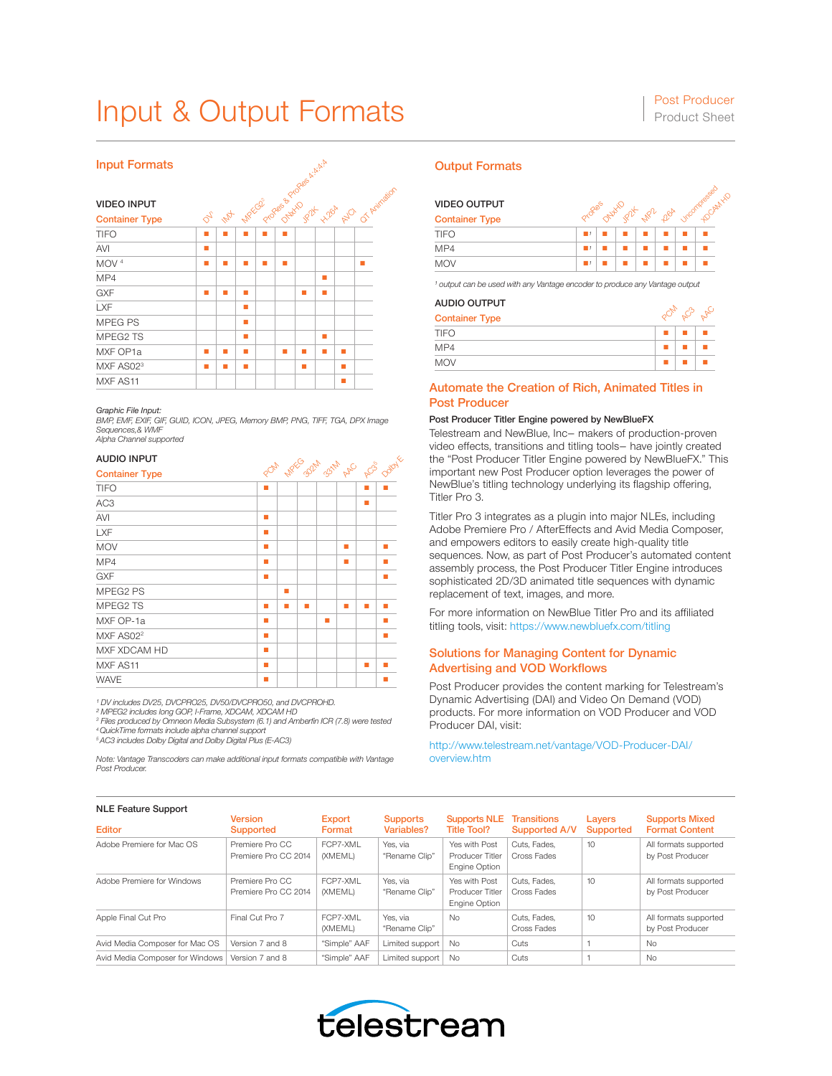## Input & Output Formats Post Producer

### Input Formats

| <b>Input Formats</b>  |               |                                                                |   |  |   |   |   | <b>Output Formats</b> |   |                     |                                      |
|-----------------------|---------------|----------------------------------------------------------------|---|--|---|---|---|-----------------------|---|---------------------|--------------------------------------|
| <b>VIDEO INPUT</b>    |               | <b>Ash Associate Back of Capital Comments</b><br>OT Aritration |   |  |   |   |   |                       |   | <b>VIDEO OUTPUT</b> |                                      |
| <b>Container Type</b> | $\phi_{\ell}$ |                                                                |   |  |   |   |   |                       |   |                     | <b>Container Type</b>                |
| <b>TIFO</b>           | ш             |                                                                |   |  |   |   |   |                       |   |                     | <b>TIFO</b>                          |
| AVI                   | п             |                                                                |   |  |   |   |   |                       |   |                     | MP4                                  |
| MOV <sup>4</sup>      | ш             | ▬                                                              | п |  | ٠ |   |   |                       | ш |                     | <b>MOV</b>                           |
| MP4                   |               |                                                                |   |  |   |   | ш |                       |   |                     | <sup>1</sup> output can be used with |
| <b>GXF</b>            | п             | ٠                                                              | п |  |   | п | ٠ |                       |   |                     |                                      |
| <b>LXF</b>            |               |                                                                | ٠ |  |   |   |   |                       |   |                     | <b>AUDIO OUTPUT</b>                  |
| MPEG PS               |               |                                                                | ٠ |  |   |   |   |                       |   |                     | <b>Container Type</b>                |
| MPEG2 TS              |               |                                                                | п |  |   |   | п |                       |   |                     | <b>TIFO</b>                          |
| MXF OP1a              | ш             | п                                                              | ٠ |  | ٠ | ш | п | п                     |   |                     | MP4                                  |
| MXF AS02 <sup>3</sup> | ш             | ٠                                                              | ٠ |  |   | ш |   | ٠                     |   |                     | <b>MOV</b>                           |
| MXF AS11              |               |                                                                |   |  |   |   |   | п                     |   |                     | <b>Automate the Cr</b>               |

*Graphic File Input: BMP, EMF, EXIF, GIF, GUID, ICON, JPEG, Memory BMP, PNG, TIFF, TGA, DPX Image Sequences,& WMF Alpha Channel supported*

### AUDIO INPUT

| AUDIO INPUT           | POM NREG BRM B3NM APC ACB |   |        |   |   |   |   |  |
|-----------------------|---------------------------|---|--------|---|---|---|---|--|
| <b>Container Type</b> |                           |   | Dollar |   |   |   |   |  |
| <b>TIFO</b>           | п                         |   |        |   |   | п |   |  |
| AC <sub>3</sub>       |                           |   |        |   |   | п |   |  |
| <b>AVI</b>            | ٠                         |   |        |   |   |   |   |  |
| LXF                   | ш                         |   |        |   |   |   |   |  |
| <b>MOV</b>            | ٠                         |   |        |   | п |   | п |  |
| MP4                   | п                         |   |        |   | п |   | п |  |
| <b>GXF</b>            | ٠                         |   |        |   |   |   | ٠ |  |
| MPEG2 PS              |                           | ٠ |        |   |   |   |   |  |
| MPEG2 TS              | п                         | ш | ٠      |   | п | п | ٠ |  |
| MXF OP-1a             | п                         |   |        | ■ |   |   | ш |  |
| MXF AS02 <sup>2</sup> | п                         |   |        |   |   |   | ш |  |
| MXF XDCAM HD          | ٠                         |   |        |   |   |   |   |  |
| MXF AS11              | ٠                         |   |        |   |   | ш |   |  |
| <b>WAVE</b>           | п                         |   |        |   |   |   |   |  |

<sup>1</sup> DV includes DV25, DVCPRO25, DV50/DVCPRO50, and DVCPROHD.<br><sup>2</sup> MPEG2 includes long GOP, I-Frame, XDCAM, XDCAM HD<br><sup>3</sup> Files produced by Omneon Media Subsystem (6.1) and Amberfin ICR (7.8) were tested

*4 QuickTime formats include alpha channel support 5 AC3 includes Dolby Digital and Dolby Digital Plus (E-AC3)*

*Note: Vantage Transcoders can make additional input formats compatible with Vantage Post Producer.*

**HOCAM HD** 

Vircompressed

### Container Type TIFO ■*¹* ■ ■ ■ ■ ■ ■ MP4 ■*¹* ■ ■ ■ ■ ■ ■ **MP2** ON<sup>WAD</sup> JP2K Propes  $p_{6}^{3}$ VIDEO OUTPUT

MOV ■*¹* ■ ■ ■ ■ ■ ■ *¹ output can be used with any Vantage encoder to produce any Vantage output*

### AUDIO OUTPUT

| <b>Container Type</b> |  |  |
|-----------------------|--|--|
| <b>TIFO</b>           |  |  |
| MP4                   |  |  |
| <b>MOV</b>            |  |  |

### Automate the Creation of Rich, Animated Titles in Post Producer

### Post Producer Titler Engine powered by NewBlueFX

Telestream and NewBlue, Inc– makers of production-proven video effects, transitions and titling tools– have jointly created the "Post Producer Titler Engine powered by NewBlueFX." This important new Post Producer option leverages the power of NewBlue's titling technology underlying its flagship offering, Titler Pro 3.

Titler Pro 3 integrates as a plugin into major NLEs, including Adobe Premiere Pro / AfterEffects and Avid Media Composer, and empowers editors to easily create high-quality title sequences. Now, as part of Post Producer's automated content assembly process, the Post Producer Titler Engine introduces sophisticated 2D/3D animated title sequences with dynamic replacement of text, images, and more.

For more information on NewBlue Titler Pro and its affiliated titling tools, visit:<https://www.newbluefx.com/titling>

### Solutions for Managing Content for Dynamic Advertising and VOD Workflows

Post Producer provides the content marking for Telestream's Dynamic Advertising (DAI) and Video On Demand (VOD) products. For more information on VOD Producer and VOD Producer DAI, visit:

[http://www.telestream.net/vantage/VOD-Producer-DAI/](http://www.telestream.net/vantage/VOD-Producer-DAI/overview.htm) [overview.htm](http://www.telestream.net/vantage/VOD-Producer-DAI/overview.htm)

| <b>NLE Feature Support</b>      |                                         |                         |                               |                                                          |                                            |                            |                                                |
|---------------------------------|-----------------------------------------|-------------------------|-------------------------------|----------------------------------------------------------|--------------------------------------------|----------------------------|------------------------------------------------|
| <b>Editor</b>                   | <b>Version</b><br><b>Supported</b>      | <b>Export</b><br>Format | <b>Supports</b><br>Variables? | <b>Supports NLE</b><br>Title Tool?                       | <b>Transitions</b><br><b>Supported A/V</b> | Layers<br><b>Supported</b> | <b>Supports Mixed</b><br><b>Format Content</b> |
| Adobe Premiere for Mac OS       | Premiere Pro CC<br>Premiere Pro CC 2014 | FCP7-XMI<br>(XMEML)     | Yes, via<br>"Rename Clip"     | Yes with Post<br><b>Producer Titler</b><br>Engine Option | Cuts, Fades.<br>Cross Fades                | 10                         | All formats supported<br>by Post Producer      |
| Adobe Premiere for Windows      | Premiere Pro CC<br>Premiere Pro CC 2014 | FCP7-XMI<br>(XMEML)     | Yes, via<br>"Rename Clip"     | Yes with Post<br>Producer Titler<br>Engine Option        | Cuts, Fades,<br>Cross Fades                | 10                         | All formats supported<br>by Post Producer      |
| Apple Final Cut Pro             | Final Cut Pro 7                         | FCP7-XMI<br>(XMEML)     | Yes, via<br>"Rename Clip"     | <b>No</b>                                                | Cuts, Fades,<br>Cross Fades                | 10                         | All formats supported<br>by Post Producer      |
| Avid Media Composer for Mac OS  | Version 7 and 8                         | "Simple" AAF            | Limited support               | <b>No</b>                                                | Cuts                                       |                            | No                                             |
| Avid Media Composer for Windows | Version 7 and 8                         | "Simple" AAF            | Limited support               | <b>No</b>                                                | Cuts                                       |                            | No                                             |